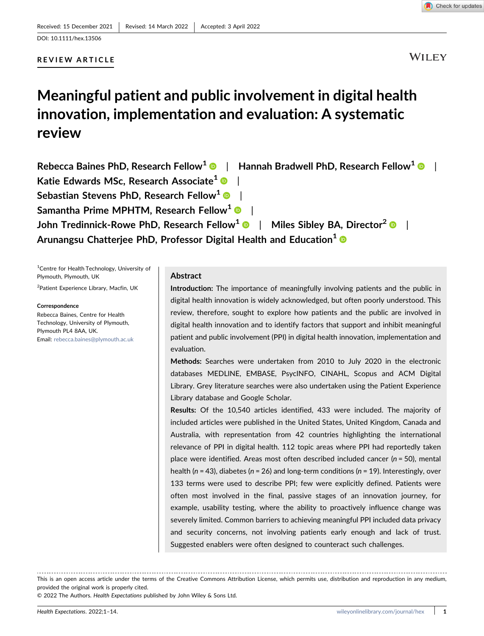REVIEW ARTICLE

# **WILEY**

# Meaningful patient and public involvement in digital health innovation, implementation and evaluation: A systematic review

| Rebecca Baines PhD, Research Fellow <sup>1</sup> <sup>®</sup>   Hannah Bradwell PhD, Research Fellow <sup>1</sup> <sup>®</sup> |  |
|--------------------------------------------------------------------------------------------------------------------------------|--|
| Katie Edwards MSc, Research Associate <sup>1</sup> <sup>1</sup>                                                                |  |
| Sebastian Stevens PhD, Research Fellow <sup>1</sup> <sup>1</sup>                                                               |  |
| Samantha Prime MPHTM, Research Fellow <sup>1</sup> •                                                                           |  |
| John Tredinnick-Rowe PhD, Research Fellow <sup>1</sup> <sup>®</sup>   Miles Sibley BA, Director <sup>2</sup> <sup>®</sup>      |  |
| Arunangsu Chatterjee PhD, Professor Digital Health and Education <sup>1</sup> ®                                                |  |

<sup>1</sup> Centre for Health Technology, University of Plymouth, Plymouth, UK

2 Patient Experience Library, Macfin, UK

**Correspondence** 

Rebecca Baines, Centre for Health Technology, University of Plymouth, Plymouth PL4 8AA, UK. Email: [rebecca.baines@plymouth.ac.uk](mailto:rebecca.baines@plymouth.ac.uk)

## Abstract

Introduction: The importance of meaningfully involving patients and the public in digital health innovation is widely acknowledged, but often poorly understood. This review, therefore, sought to explore how patients and the public are involved in digital health innovation and to identify factors that support and inhibit meaningful patient and public involvement (PPI) in digital health innovation, implementation and evaluation.

Methods: Searches were undertaken from 2010 to July 2020 in the electronic databases MEDLINE, EMBASE, PsycINFO, CINAHL, Scopus and ACM Digital Library. Grey literature searches were also undertaken using the Patient Experience Library database and Google Scholar.

Results: Of the 10,540 articles identified, 433 were included. The majority of included articles were published in the United States, United Kingdom, Canada and Australia, with representation from 42 countries highlighting the international relevance of PPI in digital health. 112 topic areas where PPI had reportedly taken place were identified. Areas most often described included cancer ( $n = 50$ ), mental health ( $n = 43$ ), diabetes ( $n = 26$ ) and long-term conditions ( $n = 19$ ). Interestingly, over 133 terms were used to describe PPI; few were explicitly defined. Patients were often most involved in the final, passive stages of an innovation journey, for example, usability testing, where the ability to proactively influence change was severely limited. Common barriers to achieving meaningful PPI included data privacy and security concerns, not involving patients early enough and lack of trust. Suggested enablers were often designed to counteract such challenges.

This is an open access article under the terms of the Creative Commons Attribution License, which permits use, distribution and reproduction in any medium, provided the original work is properly cited.

© 2022 The Authors. Health Expectations published by John Wiley & Sons Ltd.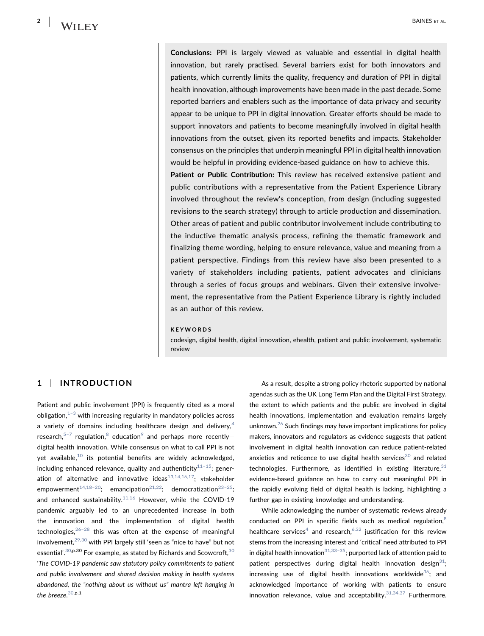Conclusions: PPI is largely viewed as valuable and essential in digital health innovation, but rarely practised. Several barriers exist for both innovators and patients, which currently limits the quality, frequency and duration of PPI in digital health innovation, although improvements have been made in the past decade. Some reported barriers and enablers such as the importance of data privacy and security appear to be unique to PPI in digital innovation. Greater efforts should be made to support innovators and patients to become meaningfully involved in digital health innovations from the outset, given its reported benefits and impacts. Stakeholder consensus on the principles that underpin meaningful PPI in digital health innovation would be helpful in providing evidence‐based guidance on how to achieve this.

Patient or Public Contribution: This review has received extensive patient and public contributions with a representative from the Patient Experience Library involved throughout the review's conception, from design (including suggested revisions to the search strategy) through to article production and dissemination. Other areas of patient and public contributor involvement include contributing to the inductive thematic analysis process, refining the thematic framework and finalizing theme wording, helping to ensure relevance, value and meaning from a patient perspective. Findings from this review have also been presented to a variety of stakeholders including patients, patient advocates and clinicians through a series of focus groups and webinars. Given their extensive involvement, the representative from the Patient Experience Library is rightly included as an author of this review.

#### KEYWORDS

codesign, digital health, digital innovation, ehealth, patient and public involvement, systematic review

# 1 | INTRODUCTION

Patient and public involvement (PPI) is frequently cited as a moral obligation, $1-3$  with increasing regularity in mandatory policies across a variety of domains including healthcare design and delivery,<sup>[4](#page-11-1)</sup> research,<sup>5[–](#page-11-2)7</sup> regulation,<sup>[8](#page-11-3)</sup> education<sup>[9](#page-11-4)</sup> and perhaps more recently– digital health innovation. While consensus on what to call PPI is not yet available, $10$  its potential benefits are widely acknowledged, including enhanced relevance, quality and authenticity $11-15$  $11-15$ ; generation of alternative and innovative ideas $13,14,16,17$ ; stakeholder empowerment<sup>[14,18](#page-12-0)-20</sup>; emancipation<sup>[21,22](#page-12-1)</sup>; democratization<sup>23-[25](#page-12-2)</sup>; and enhanced sustainability. $11,16$  However, while the COVID-19 pandemic arguably led to an unprecedented increase in both the innovation and the implementation of digital health technologies,  $26-28$  $26-28$  this was often at the expense of meaningful involvement, $29,30$  with PPI largely still 'seen as "nice to have" but not essential'. $^{30,\mathsf{p}.30}$  $^{30,\mathsf{p}.30}$  $^{30,\mathsf{p}.30}$  For example, as stated by Richards and Scowcroft, $^{30}$ 'The COVID‐19 pandemic saw statutory policy commitments to patient and public involvement and shared decision making in health systems abandoned, the "nothing about us without us" mantra left hanging in the breeze. $^{\rm 30,p.1}$  $^{\rm 30,p.1}$  $^{\rm 30,p.1}$ 

As a result, despite a strong policy rhetoric supported by national agendas such as the UK Long Term Plan and the Digital First Strategy, the extent to which patients and the public are involved in digital health innovations, implementation and evaluation remains largely unknown.<sup>26</sup> Such findings may have important implications for policy makers, innovators and regulators as evidence suggests that patient involvement in digital health innovation can reduce patient‐related anxieties and reticence to use digital health services<sup>[30](#page-12-5)</sup> and related technologies. Furthermore, as identified in existing literature,  $31$ evidence‐based guidance on how to carry out meaningful PPI in the rapidly evolving field of digital health is lacking, highlighting a further gap in existing knowledge and understanding.

While acknowledging the number of systematic reviews already conducted on PPI in specific fields such as medical regulation,<sup>8</sup> healthcare services<sup>4</sup> and research,<sup>[6,32](#page-11-8)</sup> justification for this review stems from the increasing interest and 'critical' need attributed to PPI in digital health innovation<sup>31,33–35</sup>; purported lack of attention paid to patient perspectives during digital health innovation design $31$ ; increasing use of digital health innovations worldwide $36$ ; and acknowledged importance of working with patients to ensure innovation relevance, value and acceptability. $31,34,37$  Furthermore,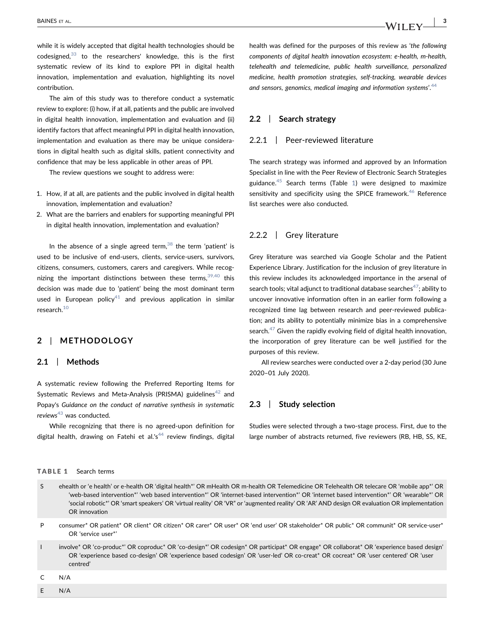while it is widely accepted that digital health technologies should be codesigned, $33$  to the researchers' knowledge, this is the first systematic review of its kind to explore PPI in digital health innovation, implementation and evaluation, highlighting its novel contribution.

The aim of this study was to therefore conduct a systematic review to explore: (i) how, if at all, patients and the public are involved in digital health innovation, implementation and evaluation and (ii) identify factors that affect meaningful PPI in digital health innovation, implementation and evaluation as there may be unique considerations in digital health such as digital skills, patient connectivity and confidence that may be less applicable in other areas of PPI.

The review questions we sought to address were:

- 1. How, if at all, are patients and the public involved in digital health innovation, implementation and evaluation?
- 2. What are the barriers and enablers for supporting meaningful PPI in digital health innovation, implementation and evaluation?

In the absence of a single agreed term,  $38$  the term 'patient' is used to be inclusive of end‐users, clients, service‐users, survivors, citizens, consumers, customers, carers and caregivers. While recognizing the important distinctions between these terms,  $39,40$  this decision was made due to 'patient' being the most dominant term used in European policy<sup>41</sup> and previous application in similar research.<sup>10</sup>

# 2 | METHODOLOGY

# 2.1 | Methods

A systematic review following the Preferred Reporting Items for Systematic Reviews and Meta-Analysis (PRISMA) guidelines<sup>[42](#page-12-12)</sup> and Popay's Guidance on the conduct of narrative synthesis in systematic reviews $43$  was conducted.

While recognizing that there is no agreed‐upon definition for digital health, drawing on Fatehi et al.'s<sup>[44](#page-12-14)</sup> review findings, digital

### <span id="page-2-0"></span>TABLE 1 Search terms

health was defined for the purposes of this review as 'the following components of digital health innovation ecosystem: e-health, m-health, telehealth and telemedicine, public health surveillance, personalized medicine, health promotion strategies, self-tracking, wearable devices and sensors, genomics, medical imaging and information systems'.<sup>[44](#page-12-14)</sup>

# 2.2 | Search strategy

# 2.2.1 | Peer-reviewed literature

The search strategy was informed and approved by an Information Specialist in line with the Peer Review of Electronic Search Strategies guidance.<sup>45</sup> Search terms (Table [1\)](#page-2-0) were designed to maximize sensitivity and specificity using the SPICE framework.<sup>[46](#page-12-16)</sup> Reference list searches were also conducted.

## 2.2.2 | Grey literature

Grey literature was searched via Google Scholar and the Patient Experience Library. Justification for the inclusion of grey literature in this review includes its acknowledged importance in the arsenal of search tools; vital adjunct to traditional database searches<sup>47</sup>; ability to uncover innovative information often in an earlier form following a recognized time lag between research and peer‐reviewed publication; and its ability to potentially minimize bias in a comprehensive search. $47$  Given the rapidly evolving field of digital health innovation, the incorporation of grey literature can be well justified for the purposes of this review.

All review searches were conducted over a 2‐day period (30 June 2020–01 July 2020).

#### 2.3 | Study selection

Studies were selected through a two‐stage process. First, due to the large number of abstracts returned, five reviewers (RB, HB, SS, KE,

- S ehealth or 'e health' or e-health OR 'digital health\*' OR mHealth OR m-health OR Telemedicine OR Telehealth OR telecare OR 'mobile app\*' OR 'web-based intervention\*' 'web based intervention\*' OR 'internet-based intervention\*' OR 'internet based intervention\*' OR 'wearable\*' OR 'social robotic\*' OR 'smart speakers' OR 'virtual reality' OR 'VR" or 'augmented reality' OR 'AR' AND design OR evaluation OR implementation OR innovation
- P consumer\* OR patient\* OR client\* OR citizen\* OR carer\* OR user\* OR 'end user' OR stakeholder\* OR public\* OR communit\* OR service-user\* OR 'service user\*'
- involve\* OR 'co-produc\*' OR coproduc\* OR 'co-design\*' OR codesign\* OR participat\* OR engage\* OR collaborat\* OR 'experience based design' OR 'experience based co-design' OR 'experience based codesign' OR 'user-led' OR co-creat\* OR cocreat\* OR 'user centered' OR 'user centred'

C N/A

E N/A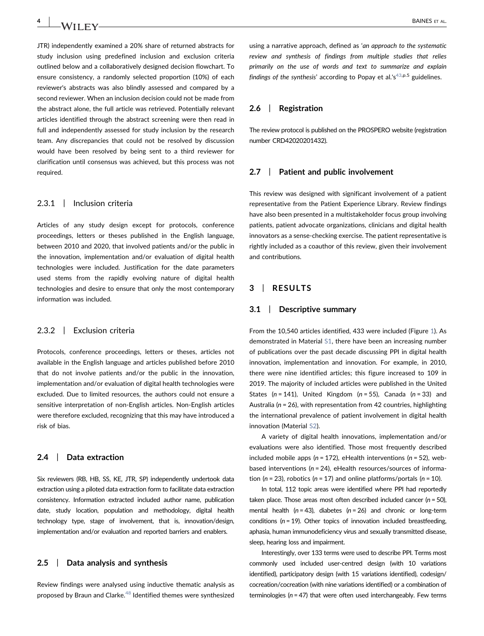JTR) independently examined a 20% share of returned abstracts for study inclusion using predefined inclusion and exclusion criteria outlined below and a collaboratively designed decision flowchart. To ensure consistency, a randomly selected proportion (10%) of each reviewer's abstracts was also blindly assessed and compared by a second reviewer. When an inclusion decision could not be made from the abstract alone, the full article was retrieved. Potentially relevant articles identified through the abstract screening were then read in full and independently assessed for study inclusion by the research team. Any discrepancies that could not be resolved by discussion would have been resolved by being sent to a third reviewer for clarification until consensus was achieved, but this process was not required.

# 2.3.1 | Inclusion criteria

Articles of any study design except for protocols, conference proceedings, letters or theses published in the English language, between 2010 and 2020, that involved patients and/or the public in the innovation, implementation and/or evaluation of digital health technologies were included. Justification for the date parameters used stems from the rapidly evolving nature of digital health technologies and desire to ensure that only the most contemporary information was included.

### 2.3.2 | Exclusion criteria

Protocols, conference proceedings, letters or theses, articles not available in the English language and articles published before 2010 that do not involve patients and/or the public in the innovation, implementation and/or evaluation of digital health technologies were excluded. Due to limited resources, the authors could not ensure a sensitive interpretation of non‐English articles. Non‐English articles were therefore excluded, recognizing that this may have introduced a risk of bias.

#### 2.4 | Data extraction

Six reviewers (RB, HB, SS, KE, JTR, SP) independently undertook data extraction using a piloted data extraction form to facilitate data extraction consistency. Information extracted included author name, publication date, study location, population and methodology, digital health technology type, stage of involvement, that is, innovation/design, implementation and/or evaluation and reported barriers and enablers.

#### 2.5 | Data analysis and synthesis

Review findings were analysed using inductive thematic analysis as proposed by Braun and Clarke.<sup>[48](#page-12-18)</sup> Identified themes were synthesized

using a narrative approach, defined as 'an approach to the systematic review and synthesis of findings from multiple studies that relies primarily on the use of words and text to summarize and explain findings of the synthesis' according to Popay et al.'s<sup>43,p.5</sup> guidelines.

# 2.6 | Registration

The review protocol is published on the PROSPERO website (registration number CRD42020201432).

#### 2.7 | Patient and public involvement

This review was designed with significant involvement of a patient representative from the Patient Experience Library. Review findings have also been presented in a multistakeholder focus group involving patients, patient advocate organizations, clinicians and digital health innovators as a sense‐checking exercise. The patient representative is rightly included as a coauthor of this review, given their involvement and contributions.

### 3 | RESULTS

#### 3.1 | Descriptive summary

From the 10,540 articles identified, 433 were included (Figure [1](#page-4-0)). As demonstrated in Material S1, there have been an increasing number of publications over the past decade discussing PPI in digital health innovation, implementation and innovation. For example, in 2010, there were nine identified articles; this figure increased to 109 in 2019. The majority of included articles were published in the United States ( $n = 141$ ), United Kingdom ( $n = 55$ ), Canada ( $n = 33$ ) and Australia (n = 26), with representation from 42 countries, highlighting the international prevalence of patient involvement in digital health innovation (Material S2).

A variety of digital health innovations, implementation and/or evaluations were also identified. Those most frequently described included mobile apps ( $n = 172$ ), eHealth interventions ( $n = 52$ ), webbased interventions ( $n = 24$ ), eHealth resources/sources of information ( $n = 23$ ), robotics ( $n = 17$ ) and online platforms/portals ( $n = 10$ ).

In total, 112 topic areas were identified where PPI had reportedly taken place. Those areas most often described included cancer ( $n = 50$ ), mental health ( $n = 43$ ), diabetes ( $n = 26$ ) and chronic or long-term conditions ( $n = 19$ ). Other topics of innovation included breastfeeding, aphasia, human immunodeficiency virus and sexually transmitted disease, sleep, hearing loss and impairment.

Interestingly, over 133 terms were used to describe PPI. Terms most commonly used included user-centred design (with 10 variations identified), participatory design (with 15 variations identified), codesign/ cocreation/cocreation (with nine variations identified) or a combination of terminologies ( $n = 47$ ) that were often used interchangeably. Few terms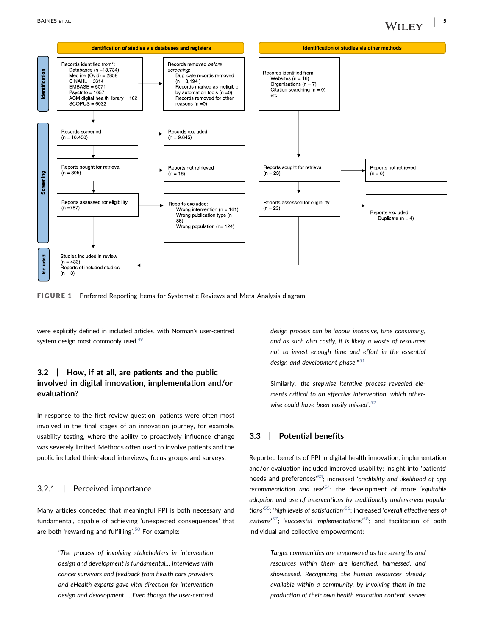<span id="page-4-0"></span>

FIGURE 1 Preferred Reporting Items for Systematic Reviews and Meta-Analysis diagram

were explicitly defined in included articles, with Norman's user‐centred system design most commonly used.<sup>49</sup>

# 3.2 | How, if at all, are patients and the public involved in digital innovation, implementation and/or evaluation?

In response to the first review question, patients were often most involved in the final stages of an innovation journey, for example, usability testing, where the ability to proactively influence change was severely limited. Methods often used to involve patients and the public included think‐aloud interviews, focus groups and surveys.

## 3.2.1 | Perceived importance

Many articles conceded that meaningful PPI is both necessary and fundamental, capable of achieving 'unexpected consequences' that are both 'rewarding and fulfilling'. [50](#page-12-20) For example:

> "The process of involving stakeholders in intervention design and development is fundamental… Interviews with cancer survivors and feedback from health care providers and eHealth experts gave vital direction for intervention design and development. …Even though the user‐centred

design process can be labour intensive, time consuming, and as such also costly, it is likely a waste of resources not to invest enough time and effort in the essential design and development phase." $51$ 

Similarly, 'the stepwise iterative process revealed elements critical to an effective intervention, which otherwise could have been easily missed'. [52](#page-12-22)

## 3.3 | Potential benefits

Reported benefits of PPI in digital health innovation, implementation and/or evaluation included improved usability; insight into 'patients' needs and preferences<sup>,[53](#page-12-23)</sup>; increased 'credibility and likelihood of app recommendation and use<sup>,[54](#page-12-24)</sup>; the development of more 'equitable adoption and use of interventions by traditionally underserved popula-tions<sup>,55</sup>; 'high levels of satisfaction'<sup>[56](#page-13-0)</sup>; increased 'overall effectiveness of systems'<sup>57</sup>; 'successful implementations'<sup>58</sup>; and facilitation of both individual and collective empowerment:

> Target communities are empowered as the strengths and resources within them are identified, harnessed, and showcased. Recognizing the human resources already available within a community, by involving them in the production of their own health education content, serves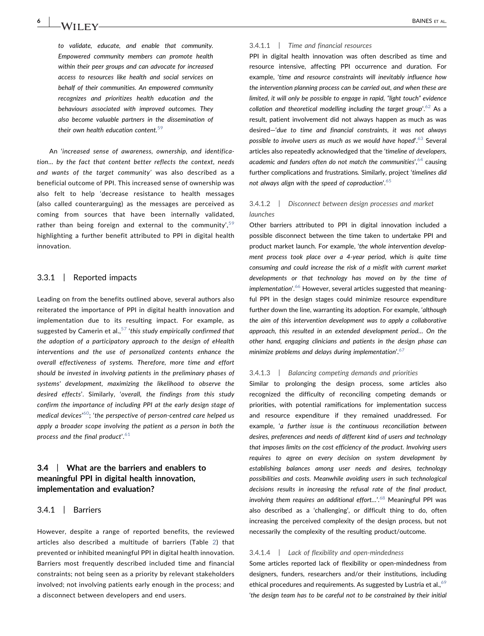to validate, educate, and enable that community. Empowered community members can promote health within their peer groups and can advocate for increased access to resources like health and social services on behalf of their communities. An empowered community recognizes and prioritizes health education and the behaviours associated with improved outcomes. They also become valuable partners in the dissemination of their own health education content.<sup>[59](#page-13-3)</sup>

An 'increased sense of awareness, ownership, and identification… by the fact that content better reflects the context, needs and wants of the target community' was also described as a beneficial outcome of PPI. This increased sense of ownership was also felt to help 'decrease resistance to health messages (also called counterarguing) as the messages are perceived as coming from sources that have been internally validated, rather than being foreign and external to the community',<sup>[59](#page-13-3)</sup> highlighting a further benefit attributed to PPI in digital health innovation.

## 3.3.1 | Reported impacts

Leading on from the benefits outlined above, several authors also reiterated the importance of PPI in digital health innovation and implementation due to its resulting impact. For example, as suggested by Camerin et al.,  $57$  'this study empirically confirmed that the adoption of a participatory approach to the design of eHealth interventions and the use of personalized contents enhance the overall effectiveness of systems. Therefore, more time and effort should be invested in involving patients in the preliminary phases of systems' development, maximizing the likelihood to observe the desired effects'. Similarly, 'overall, the findings from this study confirm the importance of including PPI at the early design stage of medical devices'<sup>60</sup>; 'the perspective of person-centred care helped us apply a broader scope involving the patient as a person in both the process and the final product'. $^{\rm 61}$  $^{\rm 61}$  $^{\rm 61}$ 

# 3.4 | What are the barriers and enablers to meaningful PPI in digital health innovation, implementation and evaluation?

#### 3.4.1 | Barriers

However, despite a range of reported benefits, the reviewed articles also described a multitude of barriers (Table [2](#page-6-0)) that prevented or inhibited meaningful PPI in digital health innovation. Barriers most frequently described included time and financial constraints; not being seen as a priority by relevant stakeholders involved; not involving patients early enough in the process; and a disconnect between developers and end users.

#### 3.4.1.1 | Time and financial resources

PPI in digital health innovation was often described as time and resource intensive, affecting PPI occurrence and duration. For example, 'time and resource constraints will inevitably influence how the intervention planning process can be carried out, and when these are limited, it will only be possible to engage in rapid, "light touch" evidence collation and theoretical modelling including the target group'.<sup>[62](#page-13-6)</sup> As a result, patient involvement did not always happen as much as was desired—'due to time and financial constraints, it was not always possible to involve users as much as we would have hoped'.<sup>[63](#page-13-7)</sup> Several articles also repeatedly acknowledged that the 'timeline of developers, academic and funders often do not match the communities', [64](#page-13-8) causing further complications and frustrations. Similarly, project 'timelines did not always align with the speed of coproduction'. [65](#page-13-9)

## 3.4.1.2 | Disconnect between design processes and market launches

Other barriers attributed to PPI in digital innovation included a possible disconnect between the time taken to undertake PPI and product market launch. For example, 'the whole intervention development process took place over a 4‐year period, which is quite time consuming and could increase the risk of a misfit with current market developments or that technology has moved on by the time of implementation'.<sup>[66](#page-13-10)</sup> However, several articles suggested that meaningful PPI in the design stages could minimize resource expenditure further down the line, warranting its adoption. For example, 'although the aim of this intervention development was to apply a collaborative approach, this resulted in an extended development period… On the other hand, engaging clinicians and patients in the design phase can minimize problems and delays during implementation'.<sup>[67](#page-13-11)</sup>

#### 3.4.1.3 | Balancing competing demands and priorities

Similar to prolonging the design process, some articles also recognized the difficulty of reconciling competing demands or priorities, with potential ramifications for implementation success and resource expenditure if they remained unaddressed. For example, 'a further issue is the continuous reconciliation between desires, preferences and needs of different kind of users and technology that imposes limits on the cost efficiency of the product. Involving users requires to agree on every decision on system development by establishing balances among user needs and desires, technology possibilities and costs. Meanwhile avoiding users in such technological decisions results in increasing the refusal rate of the final product, involving them requires an additional effort...'.<sup>[68](#page-13-12)</sup> Meaningful PPI was also described as a 'challenging', or difficult thing to do, often increasing the perceived complexity of the design process, but not necessarily the complexity of the resulting product/outcome.

#### 3.4.1.4 | Lack of flexibility and open-mindedness

Some articles reported lack of flexibility or open-mindedness from designers, funders, researchers and/or their institutions, including ethical procedures and requirements. As suggested by Lustria et al.,<sup>[69](#page-13-13)</sup> 'the design team has to be careful not to be constrained by their initial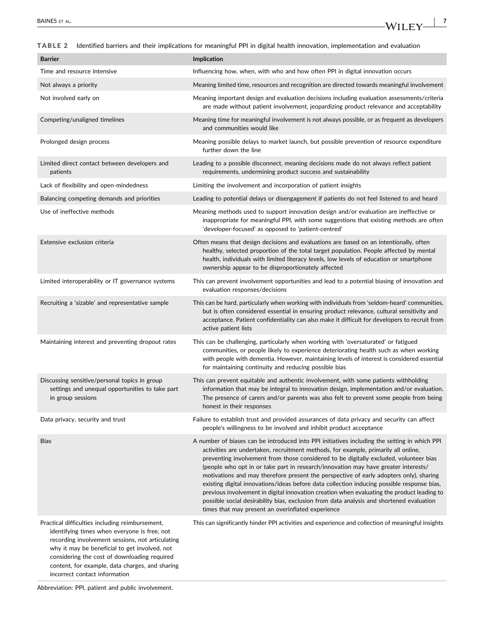<span id="page-6-0"></span>TABLE 2 Identified barriers and their implications for meaningful PPI in digital health innovation, implementation and evaluation

| <b>Barrier</b>                                                                                                                                                                                                                                                                                                                           | Implication                                                                                                                                                                                                                                                                                                                                                                                                                                                                                                                                                                                                                                                                                                                                                                                              |
|------------------------------------------------------------------------------------------------------------------------------------------------------------------------------------------------------------------------------------------------------------------------------------------------------------------------------------------|----------------------------------------------------------------------------------------------------------------------------------------------------------------------------------------------------------------------------------------------------------------------------------------------------------------------------------------------------------------------------------------------------------------------------------------------------------------------------------------------------------------------------------------------------------------------------------------------------------------------------------------------------------------------------------------------------------------------------------------------------------------------------------------------------------|
| Time and resource intensive                                                                                                                                                                                                                                                                                                              | Influencing how, when, with who and how often PPI in digital innovation occurs                                                                                                                                                                                                                                                                                                                                                                                                                                                                                                                                                                                                                                                                                                                           |
| Not always a priority                                                                                                                                                                                                                                                                                                                    | Meaning limited time, resources and recognition are directed towards meaningful involvement                                                                                                                                                                                                                                                                                                                                                                                                                                                                                                                                                                                                                                                                                                              |
| Not involved early on                                                                                                                                                                                                                                                                                                                    | Meaning important design and evaluation decisions including evaluation assessments/criteria<br>are made without patient involvement, jeopardizing product relevance and acceptability                                                                                                                                                                                                                                                                                                                                                                                                                                                                                                                                                                                                                    |
| Competing/unaligned timelines                                                                                                                                                                                                                                                                                                            | Meaning time for meaningful involvement is not always possible, or as frequent as developers<br>and communities would like                                                                                                                                                                                                                                                                                                                                                                                                                                                                                                                                                                                                                                                                               |
| Prolonged design process                                                                                                                                                                                                                                                                                                                 | Meaning possible delays to market launch, but possible prevention of resource expenditure<br>further down the line                                                                                                                                                                                                                                                                                                                                                                                                                                                                                                                                                                                                                                                                                       |
| Limited direct contact between developers and<br>patients                                                                                                                                                                                                                                                                                | Leading to a possible disconnect, meaning decisions made do not always reflect patient<br>requirements, undermining product success and sustainability                                                                                                                                                                                                                                                                                                                                                                                                                                                                                                                                                                                                                                                   |
| Lack of flexibility and open-mindedness                                                                                                                                                                                                                                                                                                  | Limiting the involvement and incorporation of patient insights                                                                                                                                                                                                                                                                                                                                                                                                                                                                                                                                                                                                                                                                                                                                           |
| Balancing competing demands and priorities                                                                                                                                                                                                                                                                                               | Leading to potential delays or disengagement if patients do not feel listened to and heard                                                                                                                                                                                                                                                                                                                                                                                                                                                                                                                                                                                                                                                                                                               |
| Use of ineffective methods                                                                                                                                                                                                                                                                                                               | Meaning methods used to support innovation design and/or evaluation are ineffective or<br>inappropriate for meaningful PPI, with some suggestions that existing methods are often<br>'developer-focused' as opposed to 'patient-centred'                                                                                                                                                                                                                                                                                                                                                                                                                                                                                                                                                                 |
| Extensive exclusion criteria                                                                                                                                                                                                                                                                                                             | Often means that design decisions and evaluations are based on an intentionally, often<br>healthy, selected proportion of the total target population. People affected by mental<br>health, individuals with limited literacy levels, low levels of education or smartphone<br>ownership appear to be disproportionately affected                                                                                                                                                                                                                                                                                                                                                                                                                                                                        |
| Limited interoperability or IT governance systems                                                                                                                                                                                                                                                                                        | This can prevent involvement opportunities and lead to a potential biasing of innovation and<br>evaluation responses/decisions                                                                                                                                                                                                                                                                                                                                                                                                                                                                                                                                                                                                                                                                           |
| Recruiting a 'sizable' and representative sample                                                                                                                                                                                                                                                                                         | This can be hard, particularly when working with individuals from 'seldom-heard' communities,<br>but is often considered essential in ensuring product relevance, cultural sensitivity and<br>acceptance. Patient confidentiality can also make it difficult for developers to recruit from<br>active patient lists                                                                                                                                                                                                                                                                                                                                                                                                                                                                                      |
| Maintaining interest and preventing dropout rates                                                                                                                                                                                                                                                                                        | This can be challenging, particularly when working with 'oversaturated' or fatigued<br>communities, or people likely to experience deteriorating health such as when working<br>with people with dementia. However, maintaining levels of interest is considered essential<br>for maintaining continuity and reducing possible bias                                                                                                                                                                                                                                                                                                                                                                                                                                                                      |
| Discussing sensitive/personal topics in group<br>settings and unequal opportunities to take part<br>in group sessions                                                                                                                                                                                                                    | This can prevent equitable and authentic involvement, with some patients withholding<br>information that may be integral to innovation design, implementation and/or evaluation.<br>The presence of carers and/or parents was also felt to prevent some people from being<br>honest in their responses                                                                                                                                                                                                                                                                                                                                                                                                                                                                                                   |
| Data privacy, security and trust                                                                                                                                                                                                                                                                                                         | Failure to establish trust and provided assurances of data privacy and security can affect<br>people's willingness to be involved and inhibit product acceptance                                                                                                                                                                                                                                                                                                                                                                                                                                                                                                                                                                                                                                         |
| <b>Bias</b>                                                                                                                                                                                                                                                                                                                              | A number of biases can be introduced into PPI initiatives including the setting in which PPI<br>activities are undertaken, recruitment methods, for example, primarily all online,<br>preventing involvement from those considered to be digitally excluded, volunteer bias<br>(people who opt in or take part in research/innovation may have greater interests/<br>motivations and may therefore present the perspective of early adopters only), sharing<br>existing digital innovations/ideas before data collection inducing possible response bias,<br>previous involvement in digital innovation creation when evaluating the product leading to<br>possible social desirability bias, exclusion from data analysis and shortened evaluation<br>times that may present an overinflated experience |
| Practical difficulties including reimbursement,<br>identifying times when everyone is free, not<br>recording involvement sessions, not articulating<br>why it may be beneficial to get involved, not<br>considering the cost of downloading required<br>content, for example, data charges, and sharing<br>incorrect contact information | This can significantly hinder PPI activities and experience and collection of meaningful insights                                                                                                                                                                                                                                                                                                                                                                                                                                                                                                                                                                                                                                                                                                        |

Abbreviation: PPI, patient and public involvement.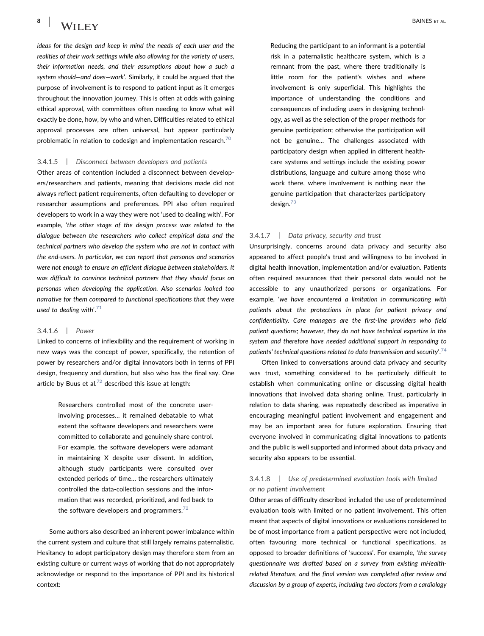$8$  |  $3\lambda/\text{H}$  |  $\text{BAINES}$  et al.

ideas for the design and keep in mind the needs of each user and the realities of their work settings while also allowing for the variety of users, their information needs, and their assumptions about how a such a system should—and does—work'. Similarly, it could be argued that the purpose of involvement is to respond to patient input as it emerges throughout the innovation journey. This is often at odds with gaining ethical approval, with committees often needing to know what will exactly be done, how, by who and when. Difficulties related to ethical approval processes are often universal, but appear particularly problematic in relation to codesign and implementation research.<sup>[70](#page-13-14)</sup>

#### 3.4.1.5 | Disconnect between developers and patients

Other areas of contention included a disconnect between developers/researchers and patients, meaning that decisions made did not always reflect patient requirements, often defaulting to developer or researcher assumptions and preferences. PPI also often required developers to work in a way they were not 'used to dealing with'. For example, 'the other stage of the design process was related to the dialogue between the researchers who collect empirical data and the technical partners who develop the system who are not in contact with the end‐users. In particular, we can report that personas and scenarios were not enough to ensure an efficient dialogue between stakeholders. It was difficult to convince technical partners that they should focus on personas when developing the application. Also scenarios looked too narrative for them compared to functional specifications that they were used to dealing with'. $71$ 

#### 3.4.1.6 | Power

Linked to concerns of inflexibility and the requirement of working in new ways was the concept of power, specifically, the retention of power by researchers and/or digital innovators both in terms of PPI design, frequency and duration, but also who has the final say. One article by Buus et al. $^{72}$  $^{72}$  $^{72}$  described this issue at length:

> Researchers controlled most of the concrete user‐ involving processes… it remained debatable to what extent the software developers and researchers were committed to collaborate and genuinely share control. For example, the software developers were adamant in maintaining X despite user dissent. In addition, although study participants were consulted over extended periods of time… the researchers ultimately controlled the data‐collection sessions and the information that was recorded, prioritized, and fed back to the software developers and programmers. $72$

Some authors also described an inherent power imbalance within the current system and culture that still largely remains paternalistic. Hesitancy to adopt participatory design may therefore stem from an existing culture or current ways of working that do not appropriately acknowledge or respond to the importance of PPI and its historical context:

Reducing the participant to an informant is a potential risk in a paternalistic healthcare system, which is a remnant from the past, where there traditionally is little room for the patient's wishes and where involvement is only superficial. This highlights the importance of understanding the conditions and consequences of including users in designing technology, as well as the selection of the proper methods for genuine participation; otherwise the participation will not be genuine… The challenges associated with participatory design when applied in different healthcare systems and settings include the existing power distributions, language and culture among those who work there, where involvement is nothing near the genuine participation that characterizes participatory design. $73$ 

#### 3.4.1.7 | Data privacy, security and trust

Unsurprisingly, concerns around data privacy and security also appeared to affect people's trust and willingness to be involved in digital health innovation, implementation and/or evaluation. Patients often required assurances that their personal data would not be accessible to any unauthorized persons or organizations. For example, 'we have encountered a limitation in communicating with patients about the protections in place for patient privacy and confidentiality. Care managers are the first‐line providers who field patient questions; however, they do not have technical expertize in the system and therefore have needed additional support in responding to patients' technical questions related to data transmission and security'.  $^{74}$  $^{74}$  $^{74}$ 

Often linked to conversations around data privacy and security was trust, something considered to be particularly difficult to establish when communicating online or discussing digital health innovations that involved data sharing online. Trust, particularly in relation to data sharing, was repeatedly described as imperative in encouraging meaningful patient involvement and engagement and may be an important area for future exploration. Ensuring that everyone involved in communicating digital innovations to patients and the public is well supported and informed about data privacy and security also appears to be essential.

# 3.4.1.8 | Use of predetermined evaluation tools with limited or no patient involvement

Other areas of difficulty described included the use of predetermined evaluation tools with limited or no patient involvement. This often meant that aspects of digital innovations or evaluations considered to be of most importance from a patient perspective were not included, often favouring more technical or functional specifications, as opposed to broader definitions of 'success'. For example, 'the survey questionnaire was drafted based on a survey from existing mHealth‐ related literature, and the final version was completed after review and discussion by a group of experts, including two doctors from a cardiology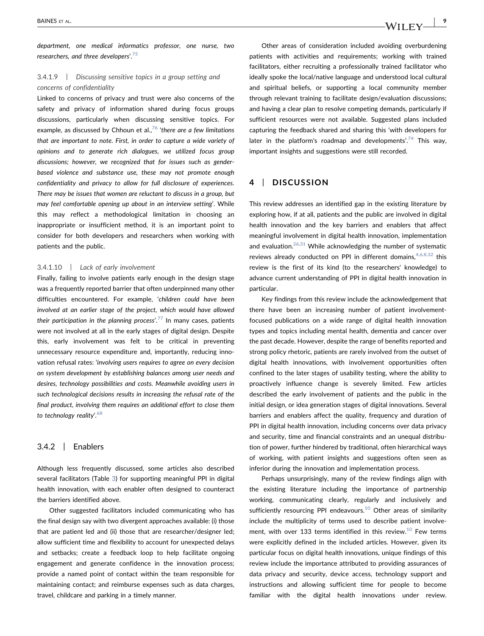department, one medical informatics professor, one nurse, two researchers, and three developers'.<sup>[75](#page-13-19)</sup>

# 3.4.1.9 | Discussing sensitive topics in a group setting and concerns of confidentiality

Linked to concerns of privacy and trust were also concerns of the safety and privacy of information shared during focus groups discussions, particularly when discussing sensitive topics. For example, as discussed by Chhoun et al.,  $76$  'there are a few limitations that are important to note. First, in order to capture a wide variety of opinions and to generate rich dialogues, we utilized focus group discussions; however, we recognized that for issues such as gender‐ based violence and substance use, these may not promote enough confidentiality and privacy to allow for full disclosure of experiences. There may be issues that women are reluctant to discuss in a group, but may feel comfortable opening up about in an interview setting'. While this may reflect a methodological limitation in choosing an inappropriate or insufficient method, it is an important point to consider for both developers and researchers when working with patients and the public.

#### 3.4.1.10 | Lack of early involvement

Finally, failing to involve patients early enough in the design stage was a frequently reported barrier that often underpinned many other difficulties encountered. For example, 'children could have been involved at an earlier stage of the project, which would have allowed their participation in the planning process'.<sup>[77](#page-13-21)</sup> In many cases, patients were not involved at all in the early stages of digital design. Despite this, early involvement was felt to be critical in preventing unnecessary resource expenditure and, importantly, reducing innovation refusal rates: 'involving users requires to agree on every decision on system development by establishing balances among user needs and desires, technology possibilities and costs. Meanwhile avoiding users in such technological decisions results in increasing the refusal rate of the final product, involving them requires an additional effort to close them to technology reality'.<sup>[68](#page-13-12)</sup>

#### 3.4.2 | Enablers

Although less frequently discussed, some articles also described several facilitators (Table [3](#page-9-0)) for supporting meaningful PPI in digital health innovation, with each enabler often designed to counteract the barriers identified above.

Other suggested facilitators included communicating who has the final design say with two divergent approaches available: (i) those that are patient led and (ii) those that are researcher/designer led; allow sufficient time and flexibility to account for unexpected delays and setbacks; create a feedback loop to help facilitate ongoing engagement and generate confidence in the innovation process; provide a named point of contact within the team responsible for maintaining contact; and reimburse expenses such as data charges, travel, childcare and parking in a timely manner.

Other areas of consideration included avoiding overburdening patients with activities and requirements; working with trained facilitators, either recruiting a professionally trained facilitator who ideally spoke the local/native language and understood local cultural and spiritual beliefs, or supporting a local community member through relevant training to facilitate design/evaluation discussions; and having a clear plan to resolve competing demands, particularly if sufficient resources were not available. Suggested plans included capturing the feedback shared and sharing this 'with developers for later in the platform's roadmap and developments'.<sup>[74](#page-13-18)</sup> This way, important insights and suggestions were still recorded.

## 4 | DISCUSSION

This review addresses an identified gap in the existing literature by exploring how, if at all, patients and the public are involved in digital health innovation and the key barriers and enablers that affect meaningful involvement in digital health innovation, implementation and evaluation. $26,31$  While acknowledging the number of systematic reviews already conducted on PPI in different domains,  $4,6,8,32$  this review is the first of its kind (to the researchers' knowledge) to advance current understanding of PPI in digital health innovation in particular.

Key findings from this review include the acknowledgement that there have been an increasing number of patient involvement‐ focused publications on a wide range of digital health innovation types and topics including mental health, dementia and cancer over the past decade. However, despite the range of benefits reported and strong policy rhetoric, patients are rarely involved from the outset of digital health innovations, with involvement opportunities often confined to the later stages of usability testing, where the ability to proactively influence change is severely limited. Few articles described the early involvement of patients and the public in the initial design, or idea generation stages of digital innovations. Several barriers and enablers affect the quality, frequency and duration of PPI in digital health innovation, including concerns over data privacy and security, time and financial constraints and an unequal distribution of power, further hindered by traditional, often hierarchical ways of working, with patient insights and suggestions often seen as inferior during the innovation and implementation process.

Perhaps unsurprisingly, many of the review findings align with the existing literature including the importance of partnership working, communicating clearly, regularly and inclusively and sufficiently resourcing PPI endeavours.<sup>[10](#page-11-5)</sup> Other areas of similarity include the multiplicity of terms used to describe patient involvement, with over 133 terms identified in this review. $10$  Few terms were explicitly defined in the included articles. However, given its particular focus on digital health innovations, unique findings of this review include the importance attributed to providing assurances of data privacy and security, device access, technology support and instructions and allowing sufficient time for people to become familiar with the digital health innovations under review.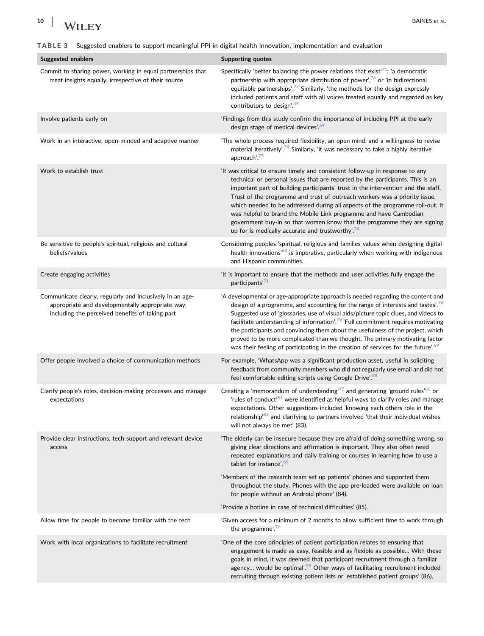<span id="page-9-0"></span>TABLE 3 Suggested enablers to support meaningful PPI in digital health innovation, implementation and evaluation

| <b>Suggested enablers</b>                                                                                                                                        | <b>Supporting quotes</b>                                                                                                                                                                                                                                                                                                                                                                                                                                                                                                                                                                                                                   |
|------------------------------------------------------------------------------------------------------------------------------------------------------------------|--------------------------------------------------------------------------------------------------------------------------------------------------------------------------------------------------------------------------------------------------------------------------------------------------------------------------------------------------------------------------------------------------------------------------------------------------------------------------------------------------------------------------------------------------------------------------------------------------------------------------------------------|
| Commit to sharing power, working in equal partnerships that<br>treat insights equally, irrespective of their source                                              | Specifically 'better balancing the power relations that exist <sup><math>71</math></sup> ; 'a democratic<br>partnership with appropriate distribution of power', $76$ or 'in bidirectional<br>equitable partnerships'. <sup>77</sup> Similarly, 'the methods for the design expressly<br>included patients and staff with all voices treated equally and regarded as key<br>contributors to design'. <sup>49</sup>                                                                                                                                                                                                                         |
| Involve patients early on                                                                                                                                        | 'Findings from this study confirm the importance of including PPI at the early<br>design stage of medical devices'. <sup>59</sup>                                                                                                                                                                                                                                                                                                                                                                                                                                                                                                          |
| Work in an interactive, open-minded and adaptive manner                                                                                                          | 'The whole process required flexibility, an open mind, and a willingness to revise<br>material iteratively'. <sup>78</sup> Similarly, 'it was necessary to take a highly iterative<br>approach'. <sup>75</sup>                                                                                                                                                                                                                                                                                                                                                                                                                             |
| Work to establish trust                                                                                                                                          | 'It was critical to ensure timely and consistent follow-up in response to any<br>technical or personal issues that are reported by the participants. This is an<br>important part of building participants' trust in the intervention and the staff.<br>Trust of the programme and trust of outreach workers was a priority issue,<br>which needed to be addressed during all aspects of the programme roll-out. It<br>was helpful to brand the Mobile Link programme and have Cambodian<br>government buy-in so that women know that the programme they are signing<br>up for is medically accurate and trustworthy'. <sup>74</sup>       |
| Be sensitive to people's spiritual, religious and cultural<br>beliefs/values                                                                                     | Considering peoples 'spiritual, religious and families values when designing digital<br>health innovations <sup>163</sup> is imperative, particularly when working with indigenous<br>and Hispanic communities.                                                                                                                                                                                                                                                                                                                                                                                                                            |
| Create engaging activities                                                                                                                                       | 'It is important to ensure that the methods and user activities fully engage the<br>participants' <sup>71</sup>                                                                                                                                                                                                                                                                                                                                                                                                                                                                                                                            |
| Communicate clearly, regularly and inclusively in an age-<br>appropriate and developmentally appropriate way,<br>including the perceived benefits of taking part | 'A developmental or age-appropriate approach is needed regarding the content and<br>design of a programme, and accounting for the range of interests and tastes'. <sup>76</sup><br>Suggested use of 'glossaries, use of visual aids/picture topic clues, and videos to<br>facilitate understanding of information'. <sup>79</sup> 'Full commitment requires motivating<br>the participants and convincing them about the usefulness of the project, which<br>proved to be more complicated than we thought. The primary motivating factor<br>was their feeling of participating in the creation of services for the future'. <sup>69</sup> |
| Offer people involved a choice of communication methods                                                                                                          | For example, 'WhatsApp was a significant production asset, useful in soliciting<br>feedback from community members who did not regularly use email and did not<br>feel comfortable editing scripts using Google Drive'. <sup>58</sup>                                                                                                                                                                                                                                                                                                                                                                                                      |
| Clarify people's roles, decision-making processes and manage<br>expectations                                                                                     | Creating a 'memorandum of understanding <sup>77</sup> and generating 'ground rules <sup>80</sup> or<br>'rules of conduct <sup>81</sup> were identified as helpful ways to clarify roles and manage<br>expectations. Other suggestions included 'knowing each others role in the<br>relationship <sup>182</sup> and clarifying to partners involved 'that their individual wishes<br>will not always be met' (83).                                                                                                                                                                                                                          |
| Provide clear instructions, tech support and relevant device<br>access                                                                                           | 'The elderly can be insecure because they are afraid of doing something wrong, so<br>giving clear directions and affirmation is important. They also often need<br>repeated explanations and daily training or courses in learning how to use a<br>tablet for instance'. <sup>69</sup>                                                                                                                                                                                                                                                                                                                                                     |
|                                                                                                                                                                  | 'Members of the research team set up patients' phones and supported them<br>throughout the study. Phones with the app pre-loaded were available on loan<br>for people without an Android phone' (84).                                                                                                                                                                                                                                                                                                                                                                                                                                      |
|                                                                                                                                                                  | 'Provide a hotline in case of technical difficulties' (85).                                                                                                                                                                                                                                                                                                                                                                                                                                                                                                                                                                                |
| Allow time for people to become familiar with the tech                                                                                                           | Given access for a minimum of 2 months to allow sufficient time to work through<br>the programme'. $76$                                                                                                                                                                                                                                                                                                                                                                                                                                                                                                                                    |
| Work with local organizations to facilitate recruitment                                                                                                          | 'One of the core principles of patient participation relates to ensuring that<br>engagement is made as easy, feasible and as flexible as possible With these<br>goals in mind, it was deemed that participant recruitment through a familiar<br>agency would be optimal'. <sup>59</sup> Other ways of facilitating recruitment included<br>recruiting through existing patient lists or 'established patient groups' (86).                                                                                                                                                                                                                 |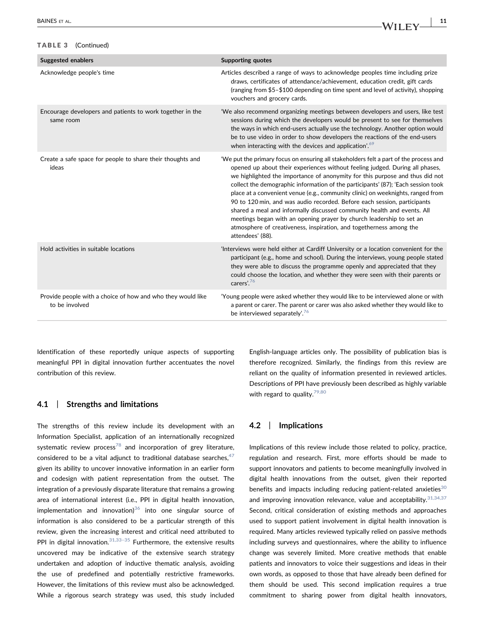## TABLE 3 (Continued)

| <b>Suggested enablers</b>                                                     | <b>Supporting quotes</b>                                                                                                                                                                                                                                                                                                                                                                                                                                                                                                                                                                                                                                                                                                                                |
|-------------------------------------------------------------------------------|---------------------------------------------------------------------------------------------------------------------------------------------------------------------------------------------------------------------------------------------------------------------------------------------------------------------------------------------------------------------------------------------------------------------------------------------------------------------------------------------------------------------------------------------------------------------------------------------------------------------------------------------------------------------------------------------------------------------------------------------------------|
| Acknowledge people's time                                                     | Articles described a range of ways to acknowledge peoples time including prize<br>draws, certificates of attendance/achievement, education credit, gift cards<br>(ranging from \$5-\$100 depending on time spent and level of activity), shopping<br>vouchers and grocery cards.                                                                                                                                                                                                                                                                                                                                                                                                                                                                        |
| Encourage developers and patients to work together in the<br>same room        | 'We also recommend organizing meetings between developers and users, like test<br>sessions during which the developers would be present to see for themselves<br>the ways in which end-users actually use the technology. Another option would<br>be to use video in order to show developers the reactions of the end-users<br>when interacting with the devices and application'. <sup>69</sup>                                                                                                                                                                                                                                                                                                                                                       |
| Create a safe space for people to share their thoughts and<br>ideas           | 'We put the primary focus on ensuring all stakeholders felt a part of the process and<br>opened up about their experiences without feeling judged. During all phases,<br>we highlighted the importance of anonymity for this purpose and thus did not<br>collect the demographic information of the participants' (87); 'Each session took<br>place at a convenient venue (e.g., community clinic) on weeknights, ranged from<br>90 to 120 min, and was audio recorded. Before each session, participants<br>shared a meal and informally discussed community health and events. All<br>meetings began with an opening prayer by church leadership to set an<br>atmosphere of creativeness, inspiration, and togetherness among the<br>attendees' (88). |
| Hold activities in suitable locations                                         | 'Interviews were held either at Cardiff University or a location convenient for the<br>participant (e.g., home and school). During the interviews, young people stated<br>they were able to discuss the programme openly and appreciated that they<br>could choose the location, and whether they were seen with their parents or<br>carers'. <sup>76</sup>                                                                                                                                                                                                                                                                                                                                                                                             |
| Provide people with a choice of how and who they would like<br>to be involved | 'Young people were asked whether they would like to be interviewed alone or with<br>a parent or carer. The parent or carer was also asked whether they would like to<br>be interviewed separately'. <sup>76</sup>                                                                                                                                                                                                                                                                                                                                                                                                                                                                                                                                       |

Identification of these reportedly unique aspects of supporting meaningful PPI in digital innovation further accentuates the novel contribution of this review.

## 4.1 | Strengths and limitations

The strengths of this review include its development with an Information Specialist, application of an internationally recognized systematic review process<sup>[78](#page-13-22)</sup> and incorporation of grey literature, considered to be a vital adjunct to traditional database searches,  $47$ given its ability to uncover innovative information in an earlier form and codesign with patient representation from the outset. The integration of a previously disparate literature that remains a growing area of international interest (i.e., PPI in digital health innovation, implementation and innovation) $36$  into one singular source of information is also considered to be a particular strength of this review, given the increasing interest and critical need attributed to PPI in digital innovation. $31,33-35$  $31,33-35$  Furthermore, the extensive results uncovered may be indicative of the extensive search strategy undertaken and adoption of inductive thematic analysis, avoiding the use of predefined and potentially restrictive frameworks. However, the limitations of this review must also be acknowledged. While a rigorous search strategy was used, this study included

English‐language articles only. The possibility of publication bias is therefore recognized. Similarly, the findings from this review are reliant on the quality of information presented in reviewed articles. Descriptions of PPI have previously been described as highly variable with regard to quality. $79,80$ 

## 4.2 | Implications

Implications of this review include those related to policy, practice, regulation and research. First, more efforts should be made to support innovators and patients to become meaningfully involved in digital health innovations from the outset, given their reported benefits and impacts including reducing patient-related anxieties $30$ and improving innovation relevance, value and acceptability.  $31,34,37$ Second, critical consideration of existing methods and approaches used to support patient involvement in digital health innovation is required. Many articles reviewed typically relied on passive methods including surveys and questionnaires, where the ability to influence change was severely limited. More creative methods that enable patients and innovators to voice their suggestions and ideas in their own words, as opposed to those that have already been defined for them should be used. This second implication requires a true commitment to sharing power from digital health innovators,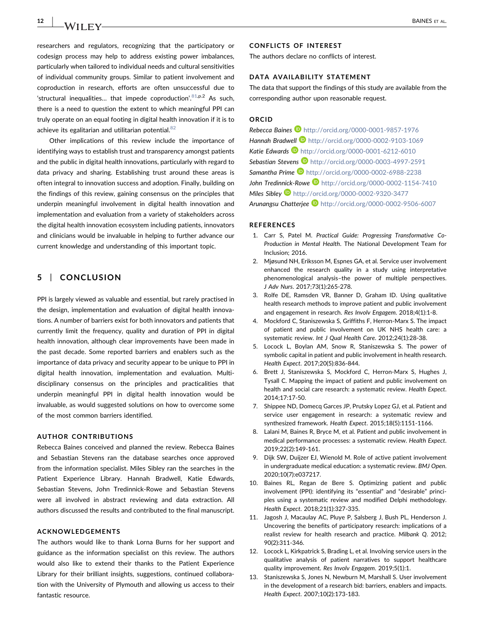researchers and regulators, recognizing that the participatory or codesign process may help to address existing power imbalances, particularly when tailored to individual needs and cultural sensitivities of individual community groups. Similar to patient involvement and coproduction in research, efforts are often unsuccessful due to 'structural inequalities... that impede coproduction'.<sup>[81,](#page-13-25)p.2</sup> As such, there is a need to question the extent to which meaningful PPI can truly operate on an equal footing in digital health innovation if it is to achieve its egalitarian and utilitarian potential.<sup>[82](#page-13-26)</sup>

Other implications of this review include the importance of identifying ways to establish trust and transparency amongst patients and the public in digital health innovations, particularly with regard to data privacy and sharing. Establishing trust around these areas is often integral to innovation success and adoption. Finally, building on the findings of this review, gaining consensus on the principles that underpin meaningful involvement in digital health innovation and implementation and evaluation from a variety of stakeholders across the digital health innovation ecosystem including patients, innovators and clinicians would be invaluable in helping to further advance our current knowledge and understanding of this important topic.

# 5 | CONCLUSION

PPI is largely viewed as valuable and essential, but rarely practised in the design, implementation and evaluation of digital health innovations. A number of barriers exist for both innovators and patients that currently limit the frequency, quality and duration of PPI in digital health innovation, although clear improvements have been made in the past decade. Some reported barriers and enablers such as the importance of data privacy and security appear to be unique to PPI in digital health innovation, implementation and evaluation. Multi‐ disciplinary consensus on the principles and practicalities that underpin meaningful PPI in digital health innovation would be invaluable, as would suggested solutions on how to overcome some of the most common barriers identified.

#### AUTHOR CONTRIBUTIONS

Rebecca Baines conceived and planned the review. Rebecca Baines and Sebastian Stevens ran the database searches once approved from the information specialist. Miles Sibley ran the searches in the Patient Experience Library. Hannah Bradwell, Katie Edwards, Sebastian Stevens, John Tredinnick‐Rowe and Sebastian Stevens were all involved in abstract reviewing and data extraction. All authors discussed the results and contributed to the final manuscript.

#### ACKNOWLEDGEMENTS

The authors would like to thank Lorna Burns for her support and guidance as the information specialist on this review. The authors would also like to extend their thanks to the Patient Experience Library for their brilliant insights, suggestions, continued collaboration with the University of Plymouth and allowing us access to their fantastic resource.

## CONFLICTS OF INTEREST

The authors declare no conflicts of interest.

# DATA AVAILABILITY STATEMENT

The data that support the findings of this study are available from the corresponding author upon reasonable request.

#### ORCID

Rebecca Baines D <http://orcid.org/0000-0001-9857-1976> Hannah Bradwell **b** <http://orcid.org/0000-0002-9103-1069> Katie Edwards **b** <http://orcid.org/0000-0001-6212-6010> Sebastian Stevens <http://orcid.org/0000-0003-4997-2591> Samantha Prime **b** <http://orcid.org/0000-0002-6988-2238> John Tredinnick-Rowe <http://orcid.org/0000-0002-1154-7410> Miles Sibley <http://orcid.org/0000-0002-9320-3477> Arunangsu Chatterjee <http://orcid.org/0000-0002-9506-6007>

#### REFERENCES

- <span id="page-11-0"></span>1. Carr S, Patel M. Practical Guide: Progressing Transformative Co-Production in Mental Health. The National Development Team for Inclusion; 2016.
- 2. Mjøsund NH, Eriksson M, Espnes GA, et al. Service user involvement enhanced the research quality in a study using interpretative phenomenological analysis–the power of multiple perspectives. J Adv Nurs. 2017;73(1):265‐278.
- 3. Rolfe DE, Ramsden VR, Banner D, Graham ID. Using qualitative health research methods to improve patient and public involvement and engagement in research. Res Involv Engagem. 2018;4(1):1‐8.
- <span id="page-11-1"></span>4. Mockford C, Staniszewska S, Griffiths F, Herron‐Marx S. The impact of patient and public involvement on UK NHS health care: a systematic review. Int J Qual Health Care. 2012;24(1):28‐38.
- <span id="page-11-2"></span>5. Locock L, Boylan AM, Snow R, Staniszewska S. The power of symbolic capital in patient and public involvement in health research. Health Expect. 2017;20(5):836‐844.
- <span id="page-11-8"></span>6. Brett J, Staniszewska S, Mockford C, Herron‐Marx S, Hughes J, Tysall C. Mapping the impact of patient and public involvement on health and social care research: a systematic review. Health Expect. 2014;17:17‐50.
- 7. Shippee ND, Domecq Garces JP, Prutsky Lopez GJ, et al. Patient and service user engagement in research: a systematic review and synthesized framework. Health Expect. 2015;18(5):1151‐1166.
- <span id="page-11-3"></span>8. Lalani M, Baines R, Bryce M, et al. Patient and public involvement in medical performance processes: a systematic review. Health Expect. 2019;22(2):149‐161.
- <span id="page-11-4"></span>9. Dijk SW, Duijzer EJ, Wienold M. Role of active patient involvement in undergraduate medical education: a systematic review. BMJ Open. 2020;10(7):e037217.
- <span id="page-11-5"></span>10. Baines RL, Regan de Bere S. Optimizing patient and public involvement (PPI): identifying its "essential" and "desirable" principles using a systematic review and modified Delphi methodology. Health Expect. 2018;21(1):327‐335.
- <span id="page-11-6"></span>11. Jagosh J, Macaulay AC, Pluye P, Salsberg J, Bush PL, Henderson J. Uncovering the benefits of participatory research: implications of a realist review for health research and practice. Milbank Q. 2012; 90(2):311‐346.
- 12. Locock L, Kirkpatrick S, Brading L, et al. Involving service users in the qualitative analysis of patient narratives to support healthcare quality improvement. Res Involv Engagem. 2019;5(1):1.
- <span id="page-11-7"></span>13. Staniszewska S, Jones N, Newburn M, Marshall S. User involvement in the development of a research bid: barriers, enablers and impacts. Health Expect. 2007;10(2):173‐183.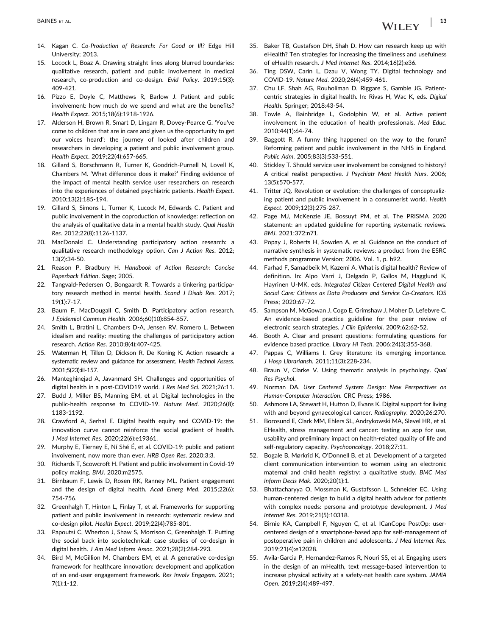- <span id="page-12-0"></span>14. Kagan C. Co-Production of Research: For Good or III? Edge Hill University; 2013.
- 15. Locock L, Boaz A. Drawing straight lines along blurred boundaries: qualitative research, patient and public involvement in medical research, co-production and co-design. Evid Policy. 2019;15(3): 409‐421.
- 16. Pizzo E, Doyle C, Matthews R, Barlow J. Patient and public involvement: how much do we spend and what are the benefits? Health Expect. 2015;18(6):1918‐1926.
- 17. Alderson H, Brown R, Smart D, Lingam R, Dovey‐Pearce G. 'You've come to children that are in care and given us the opportunity to get our voices heard': the journey of looked after children and researchers in developing a patient and public involvement group. Health Expect. 2019;22(4):657‐665.
- 18. Gillard S, Borschmann R, Turner K, Goodrich‐Purnell N, Lovell K, Chambers M. 'What difference does it make?' Finding evidence of the impact of mental health service user researchers on research into the experiences of detained psychiatric patients. Health Expect. 2010;13(2):185‐194.
- 19. Gillard S, Simons L, Turner K, Lucock M, Edwards C. Patient and public involvement in the coproduction of knowledge: reflection on the analysis of qualitative data in a mental health study. Qual Health Res. 2012;22(8):1126‐1137.
- 20. MacDonald C. Understanding participatory action research: a qualitative research methodology option. Can J Action Res. 2012; 13(2):34‐50.
- <span id="page-12-1"></span>21. Reason P, Bradbury H. Handbook of Action Research: Concise Paperback Edition. Sage; 2005.
- 22. Tangvald‐Pedersen O, Bongaardt R. Towards a tinkering participatory research method in mental health. Scand J Disab Res. 2017; 19(1):7‐17.
- <span id="page-12-2"></span>23. Baum F, MacDougall C, Smith D. Participatory action research. J Epidemiol Commun Health. 2006;60(10):854‐857.
- 24. Smith L, Bratini L, Chambers D‐A, Jensen RV, Romero L. Between idealism and reality: meeting the challenges of participatory action research. Action Res. 2010;8(4):407‐425.
- 25. Waterman H, Tillen D, Dickson R, De Koning K. Action research: a systematic review and guidance for assessment. Health Technol Assess. 2001;5(23):iii‐157.
- <span id="page-12-3"></span>26. Manteghinejad A, Javanmard SH. Challenges and opportunities of digital health in a post‐COVID19 world. J Res Med Sci. 2021;26:11.
- 27. Budd J, Miller BS, Manning EM, et al. Digital technologies in the public-health response to COVID-19. Nature Med. 2020;26(8): 1183‐1192.
- 28. Crawford A, Serhal E. Digital health equity and COVID‐19: the innovation curve cannot reinforce the social gradient of health. J Med Internet Res. 2020;22(6):e19361.
- <span id="page-12-4"></span>29. Murphy E, Tierney E, Ní Shé É, et al. COVID‐19: public and patient involvement, now more than ever. HRB Open Res. 2020;3:3.
- <span id="page-12-5"></span>30. Richards T, Scowcroft H. Patient and public involvement in Covid‐19 policy making. BMJ. 2020:m2575.
- <span id="page-12-6"></span>31. Birnbaum F, Lewis D, Rosen RK, Ranney ML. Patient engagement and the design of digital health. Acad Emerg Med. 2015;22(6): 754‐756.
- 32. Greenhalgh T, Hinton L, Finlay T, et al. Frameworks for supporting patient and public involvement in research: systematic review and co‐design pilot. Health Expect. 2019;22(4):785‐801.
- <span id="page-12-8"></span>33. Papoutsi C, Wherton J, Shaw S, Morrison C, Greenhalgh T. Putting the social back into sociotechnical: case studies of co‐design in digital health. J Am Med Inform Assoc. 2021;28(2):284‐293.
- 34. Bird M, McGillion M, Chambers EM, et al. A generative co-design framework for healthcare innovation: development and application of an end‐user engagement framework. Res Involv Engagem. 2021; 7(1):1‐12.
- 35. Baker TB, Gustafson DH, Shah D. How can research keep up with eHealth? Ten strategies for increasing the timeliness and usefulness of eHealth research. J Med Internet Res. 2014;16(2):e36.
- <span id="page-12-7"></span>36. Ting DSW, Carin L, Dzau V, Wong TY. Digital technology and COVID‐19. Nature Med. 2020;26(4):459‐461.
- 37. Chu LF, Shah AG, Rouholiman D, Riggare S, Gamble JG. Patient‐ centric strategies in digital health. In: Rivas H, Wac K, eds. Digital Health. Springer; 2018:43‐54.
- <span id="page-12-9"></span>38. Towle A, Bainbridge L, Godolphin W, et al. Active patient involvement in the education of health professionals. Med Educ. 2010;44(1):64‐74.
- <span id="page-12-10"></span>39. Baggott R. A funny thing happened on the way to the forum? Reforming patient and public involvement in the NHS in England. Public Adm. 2005;83(3):533‐551.
- 40. Stickley T. Should service user involvement be consigned to history? A critical realist perspective. J Psychiatr Ment Health Nurs. 2006; 13(5):570‐577.
- <span id="page-12-11"></span>41. Tritter JQ. Revolution or evolution: the challenges of conceptualizing patient and public involvement in a consumerist world. Health Expect. 2009;12(3):275‐287.
- <span id="page-12-12"></span>42. Page MJ, McKenzie JE, Bossuyt PM, et al. The PRISMA 2020 statement: an updated guideline for reporting systematic reviews. BMJ. 2021;372:n71.
- <span id="page-12-13"></span>43. Popay J, Roberts H, Sowden A, et al. Guidance on the conduct of narrative synthesis in systematic reviews: a product from the ESRC methods programme Version; 2006. Vol. 1, p. b92.
- <span id="page-12-14"></span>44. Farhad F, Samadbeik M, Kazemi A. What is digital health? Review of definition. In: Alpo Varri J, Delgado P, Gallos M, Hagglund K, Hayrinen U‐MK, eds. Integrated Citizen Centered Digital Health and Social Care: Citizens as Data Producers and Service Co‐Creators. IOS Press; 2020:67‐72.
- <span id="page-12-15"></span>45. Sampson M, McGowan J, Cogo E, Grimshaw J, Moher D, Lefebvre C. An evidence‐based practice guideline for the peer review of electronic search strategies. J Clin Epidemiol. 2009;62:62‐52.
- <span id="page-12-16"></span>46. Booth A. Clear and present questions: formulating questions for evidence based practice. Library Hi Tech. 2006;24(3):355‐368.
- <span id="page-12-17"></span>47. Pappas C, Williams I. Grey literature: its emerging importance. J Hosp Librariansh. 2011;11(3):228‐234.
- <span id="page-12-18"></span>48. Braun V, Clarke V. Using thematic analysis in psychology. Qual Res Psychol.
- <span id="page-12-19"></span>49. Norman DA. User Centered System Design: New Perspectives on Human‐Computer Interaction. CRC Press; 1986.
- <span id="page-12-20"></span>50. Ashmore LA, Stewart H, Hutton D, Evans K. Digital support for living with and beyond gynaecological cancer. Radiography. 2020;26:270.
- <span id="page-12-21"></span>51. Borosund E, Clark MM, Ehlers SL, Andrykowski MA, Slevel HR, et al. EHealth, stress management and cancer: testing an app for use, usability and preliminary impact on health‐related quality of life and self-regulatory capacity. Psychooncology. 2018;27:11.
- <span id="page-12-22"></span>52. Bogale B, Mørkrid K, O'Donnell B, et al. Development of a targeted client communication intervention to women using an electronic maternal and child health registry: a qualitative study. BMC Med Inform Decis Mak. 2020;20(1):1.
- <span id="page-12-23"></span>53. Bhattacharyya O, Mossman K, Gustafsson L, Schneider EC. Using human‐centered design to build a digital health advisor for patients with complex needs: persona and prototype development. J Med Internet Res. 2019;21(5):10318.
- <span id="page-12-24"></span>54. Birnie KA, Campbell F, Nguyen C, et al. ICanCope PostOp: user‐ centered design of a smartphone‐based app for self‐management of postoperative pain in children and adolescents. J Med Internet Res. 2019;21(4):e12028.
- <span id="page-12-25"></span>55. Avila‐Garcia P, Hernandez‐Ramos R, Nouri SS, et al. Engaging users in the design of an mHealth, text message‐based intervention to increase physical activity at a safety‐net health care system. JAMIA Open. 2019;2(4):489‐497.